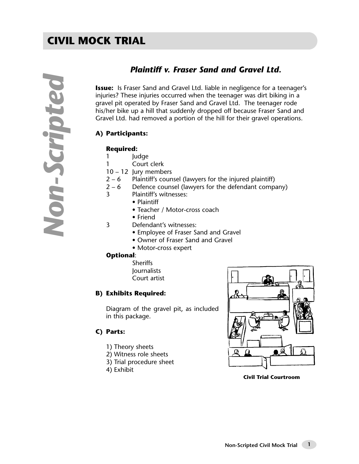## *Plaintiff v. Fraser Sand and Gravel Ltd.*

**Issue:** Is Fraser Sand and Gravel Ltd. liable in negligence for a teenager's injuries? These injuries occurred when the teenager was dirt biking in a gravel pit operated by Fraser Sand and Gravel Ltd. The teenager rode his/her bike up a hill that suddenly dropped off because Fraser Sand and Gravel Ltd. had removed a portion of the hill for their gravel operations.

#### **A) Participants:**

#### **Required:**

- 1 Judge
- 1 Court clerk
- 10 12 Jury members
- $2 6$  Plaintiff's counsel (lawyers for the injured plaintiff)
- $2 6$  Defence counsel (lawyers for the defendant company)<br>3 Plaintiff's witnesses:
	- Plaintiff's witnesses:
		- Plaintiff
		- Teacher / Motor-cross coach
		- Friend
- 3 Defendant's witnesses:
	- Employee of Fraser Sand and Gravel
	- Owner of Fraser Sand and Gravel
	- Motor-cross expert

#### **Optional**:

- Sheriffs **Journalists**
- Court artist

#### **B) Exhibits Required:**

Diagram of the gravel pit, as included in this package.

#### **C) Parts:**

- 1) Theory sheets
- 2) Witness role sheets
- 3) Trial procedure sheet
- 4) Exhibit



**Civil Trial Courtroom**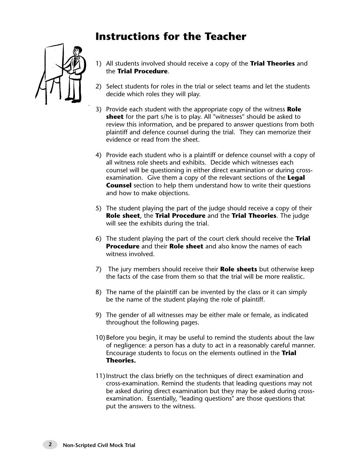# **Instructions for the Teacher**



- 1) All students involved should receive a copy of the **Trial Theories** and the **Trial Procedure**.
- 2) Select students for roles in the trial or select teams and let the students decide which roles they will play.
- 3) Provide each student with the appropriate copy of the witness **Role sheet** for the part s/he is to play. All "witnesses" should be asked to review this information, and be prepared to answer questions from both plaintiff and defence counsel during the trial. They can memorize their evidence or read from the sheet.
- 4) Provide each student who is a plaintiff or defence counsel with a copy of all witness role sheets and exhibits. Decide which witnesses each counsel will be questioning in either direct examination or during crossexamination. Give them a copy of the relevant sections of the **Legal Counsel** section to help them understand how to write their questions and how to make objections.
- 5) The student playing the part of the judge should receive a copy of their **Role sheet**, the **Trial Procedure** and the **Trial Theories**. The judge will see the exhibits during the trial.
- 6) The student playing the part of the court clerk should receive the **Trial Procedure** and their **Role sheet** and also know the names of each witness involved.
- 7) The jury members should receive their **Role sheets** but otherwise keep the facts of the case from them so that the trial will be more realistic.
- 8) The name of the plaintiff can be invented by the class or it can simply be the name of the student playing the role of plaintiff.
- 9) The gender of all witnesses may be either male or female, as indicated throughout the following pages.
- 10)Before you begin, it may be useful to remind the students about the law of negligence: a person has a duty to act in a reasonably careful manner. Encourage students to focus on the elements outlined in the **Trial Theories.**
- 11)Instruct the class briefly on the techniques of direct examination and cross-examination. Remind the students that leading questions may not be asked during direct examination but they may be asked during crossexamination. Essentially, "leading questions" are those questions that put the answers to the witness.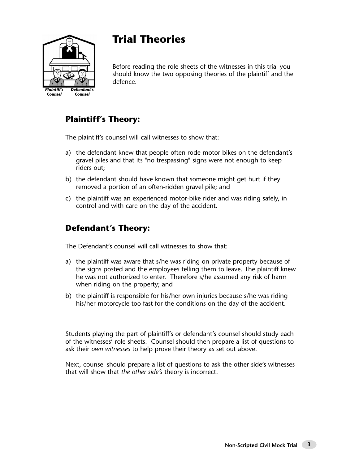

# **Trial Theories**

Before reading the role sheets of the witnesses in this trial you should know the two opposing theories of the plaintiff and the defence.

## **Plaintiff's Theory:**

The plaintiff's counsel will call witnesses to show that:

- a) the defendant knew that people often rode motor bikes on the defendant's gravel piles and that its "no trespassing" signs were not enough to keep riders out;
- b) the defendant should have known that someone might get hurt if they removed a portion of an often-ridden gravel pile; and
- c) the plaintiff was an experienced motor-bike rider and was riding safely, in control and with care on the day of the accident.

## **Defendant's Theory:**

The Defendant's counsel will call witnesses to show that:

- a) the plaintiff was aware that s/he was riding on private property because of the signs posted and the employees telling them to leave. The plaintiff knew he was not authorized to enter. Therefore s/he assumed any risk of harm when riding on the property; and
- b) the plaintiff is responsible for his/her own injuries because s/he was riding his/her motorcycle too fast for the conditions on the day of the accident.

Students playing the part of plaintiff's or defendant's counsel should study each of the witnesses' role sheets. Counsel should then prepare a list of questions to ask their *own witnesses* to help prove their theory as set out above.

Next, counsel should prepare a list of questions to ask the other side's witnesses that will show that *the other side's* theory is incorrect.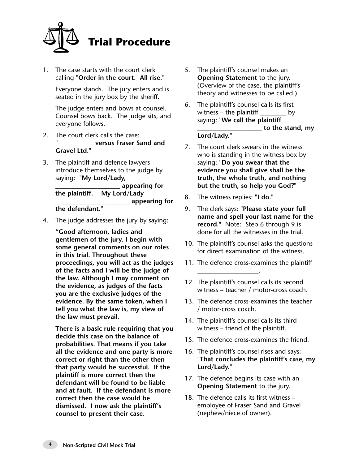

1. The case starts with the court clerk calling **"Order in the court. All rise."**

Everyone stands. The jury enters and is seated in the jury box by the sheriff.

The judge enters and bows at counsel. Counsel bows back. The judge sits, and everyone follows.

- 2. The court clerk calls the case: **"\_\_\_\_\_\_\_\_\_\_\_ versus Fraser Sand and Gravel Ltd."**
- 3. The plaintiff and defence lawyers introduce themselves to the judge by saying: **"My Lord/Lady,**

**\_\_\_\_\_\_\_\_\_\_\_\_\_\_\_\_\_\_\_\_ appearing for the plaintiff. My Lord/Lady \_\_\_\_\_\_\_\_\_\_\_\_\_\_\_\_\_\_\_\_\_\_\_ appearing for the defendant."**

4. The judge addresses the jury by saying:

**"Good afternoon, ladies and gentlemen of the jury. I begin with some general comments on our roles in this trial. Throughout these proceedings, you will act as the judges of the facts and I will be the judge of the law. Although I may comment on the evidence, as judges of the facts you are the exclusive judges of the evidence. By the same token, when I tell you what the law is, my view of the law must prevail.**

**There is a basic rule requiring that you decide this case on the balance of probabilities. That means if you take all the evidence and one party is more correct or right than the other then that party would be successful. If the plaintiff is more correct then the defendant will be found to be liable and at fault. If the defendant is more correct then the case would be dismissed. I now ask the plaintiff's counsel to present their case.** 

- 5. The plaintiff's counsel makes an **Opening Statement** to the jury. (Overview of the case, the plaintiff's theory and witnesses to be called.)
- 6. The plaintiff's counsel calls its first witness  $-$  the plaintiff  $\overline{\phantom{a}}$ saying: **"We call the plaintiff \_\_\_\_\_\_\_\_\_\_\_\_\_\_\_\_\_\_\_\_ to the stand, my Lord/Lady."**
- 7. The court clerk swears in the witness who is standing in the witness box by saying: **"Do you swear that the evidence you shall give shall be the truth, the whole truth, and nothing but the truth, so help you God?"**
- 8. The witness replies: **"I do."**

\_\_\_\_\_\_\_\_\_\_\_\_\_\_\_\_\_\_\_.

- 9. The clerk says: **"Please state your full name and spell your last name for the record."** Note: Step 6 through 9 is done for all the witnesses in the trial.
- 10. The plaintiff's counsel asks the questions for direct examination of the witness.
- 11. The defence cross-examines the plaintiff
- 12. The plaintiff's counsel calls its second witness – teacher / motor-cross coach.
- 13. The defence cross-examines the teacher / motor-cross coach.
- 14. The plaintiff's counsel calls its third witness – friend of the plaintiff.
- 15. The defence cross-examines the friend.
- 16. The plaintiff's counsel rises and says: **"That concludes the plaintiff's case, my Lord/Lady."**
- 17. The defence begins its case with an **Opening Statement** to the jury.
- 18. The defence calls its first witness employee of Fraser Sand and Gravel (nephew/niece of owner).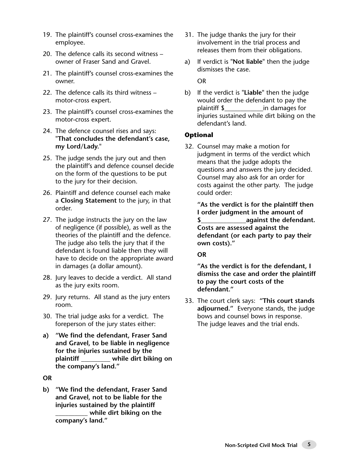- 19. The plaintiff's counsel cross-examines the employee.
- 20. The defence calls its second witness owner of Fraser Sand and Gravel.
- 21. The plaintiff's counsel cross-examines the owner.
- 22. The defence calls its third witness motor-cross expert.
- 23. The plaintiff's counsel cross-examines the motor-cross expert.
- 24. The defence counsel rises and says: **"That concludes the defendant's case, my Lord/Lady."**
- 25. The judge sends the jury out and then the plaintiff's and defence counsel decide on the form of the questions to be put to the jury for their decision.
- 26. Plaintiff and defence counsel each make a **Closing Statement** to the jury, in that order.
- 27. The judge instructs the jury on the law of negligence (if possible), as well as the theories of the plaintiff and the defence. The judge also tells the jury that if the defendant is found liable then they will have to decide on the appropriate award in damages (a dollar amount).
- 28. Jury leaves to decide a verdict. All stand as the jury exits room.
- 29. Jury returns. All stand as the jury enters room.
- 30. The trial judge asks for a verdict. The foreperson of the jury states either:
- **a) "We find the defendant, Fraser Sand and Gravel, to be liable in negligence for the injuries sustained by the plaintiff \_\_\_\_\_\_\_\_\_ while dirt biking on the company's land."**

**OR**

**b) "We find the defendant, Fraser Sand and Gravel, not to be liable for the injuries sustained by the plaintiff \_\_\_\_\_\_\_\_\_\_ while dirt biking on the company's land."**

- 31. The judge thanks the jury for their involvement in the trial process and releases them from their obligations.
- a) If verdict is **"Not liable"** then the judge dismisses the case.

OR

b) If the verdict is **"Liable"** then the judge would order the defendant to pay the plaintiff \$\_\_\_\_\_\_\_\_\_\_\_\_in damages for injuries sustained while dirt biking on the defendant's land.

#### **Optional**

32. Counsel may make a motion for judgment in terms of the verdict which means that the judge adopts the questions and answers the jury decided. Counsel may also ask for an order for costs against the other party. The judge could order:

**"As the verdict is for the plaintiff then I order judgment in the amount of \$\_\_\_\_\_\_\_\_\_\_\_\_\_\_against the defendant. Costs are assessed against the defendant (or each party to pay their own costs)."** 

#### **OR**

**"As the verdict is for the defendant, I dismiss the case and order the plaintiff to pay the court costs of the defendant."**

33. The court clerk says: **"This court stands adjourned."** Everyone stands, the judge bows and counsel bows in response. The judge leaves and the trial ends.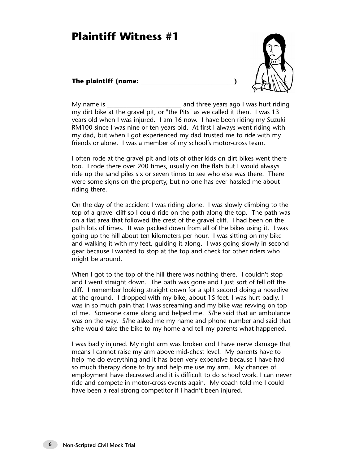## **Plaintiff Witness #1**

#### **The plaintiff (name: \_\_\_\_\_\_\_\_\_\_\_\_\_\_\_\_\_\_\_\_\_\_\_\_\_\_\_\_\_)**



My name is **Musical Example 20** and three years ago I was hurt riding my dirt bike at the gravel pit, or "the Pits" as we called it then. I was 13 years old when I was injured. I am 16 now. I have been riding my Suzuki RM100 since I was nine or ten years old. At first I always went riding with my dad, but when I got experienced my dad trusted me to ride with my friends or alone. I was a member of my school's motor-cross team.

I often rode at the gravel pit and lots of other kids on dirt bikes went there too. I rode there over 200 times, usually on the flats but I would always ride up the sand piles six or seven times to see who else was there. There were some signs on the property, but no one has ever hassled me about riding there.

On the day of the accident I was riding alone. I was slowly climbing to the top of a gravel cliff so I could ride on the path along the top. The path was on a flat area that followed the crest of the gravel cliff. I had been on the path lots of times. It was packed down from all of the bikes using it. I was going up the hill about ten kilometers per hour. I was sitting on my bike and walking it with my feet, guiding it along. I was going slowly in second gear because I wanted to stop at the top and check for other riders who might be around.

When I got to the top of the hill there was nothing there. I couldn't stop and I went straight down. The path was gone and I just sort of fell off the cliff. I remember looking straight down for a split second doing a nosedive at the ground. I dropped with my bike, about 15 feet. I was hurt badly. I was in so much pain that I was screaming and my bike was revving on top of me. Someone came along and helped me. S/he said that an ambulance was on the way. S/he asked me my name and phone number and said that s/he would take the bike to my home and tell my parents what happened.

I was badly injured. My right arm was broken and I have nerve damage that means I cannot raise my arm above mid-chest level. My parents have to help me do everything and it has been very expensive because I have had so much therapy done to try and help me use my arm. My chances of employment have decreased and it is difficult to do school work. I can never ride and compete in motor-cross events again. My coach told me I could have been a real strong competitor if I hadn't been injured.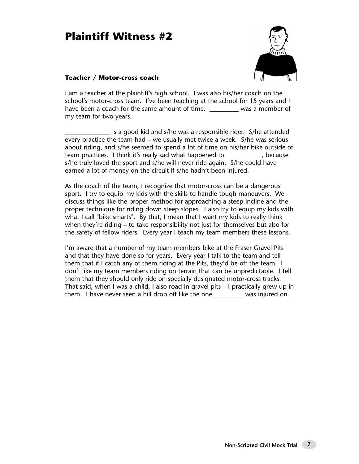# **Plaintiff Witness #2**



#### **Teacher / Motor-cross coach**

I am a teacher at the plaintiff's high school. I was also his/her coach on the school's motor-cross team. I've been teaching at the school for 15 years and I have been a coach for the same amount of time. \_\_\_\_\_\_\_\_\_\_\_ was a member of my team for two years.

is a good kid and s/he was a responsible rider. S/he attended every practice the team had – we usually met twice a week. S/he was serious about riding, and s/he seemed to spend a lot of time on his/her bike outside of team practices. I think it's really sad what happened to \_\_\_\_\_\_\_\_\_\_\_, because s/he truly loved the sport and s/he will never ride again. S/he could have earned a lot of money on the circuit if s/he hadn't been injured.

As the coach of the team, I recognize that motor-cross can be a dangerous sport. I try to equip my kids with the skills to handle tough maneuvers. We discuss things like the proper method for approaching a steep incline and the proper technique for riding down steep slopes. I also try to equip my kids with what I call "bike smarts". By that, I mean that I want my kids to really think when they're riding – to take responsibility not just for themselves but also for the safety of fellow riders. Every year I teach my team members these lessons.

I'm aware that a number of my team members bike at the Fraser Gravel Pits and that they have done so for years. Every year I talk to the team and tell them that if I catch any of them riding at the Pits, they'd be off the team. I don't like my team members riding on terrain that can be unpredictable. I tell them that they should only ride on specially designated motor-cross tracks. That said, when I was a child, I also road in gravel pits – I practically grew up in them. I have never seen a hill drop off like the one \_\_\_\_\_\_\_\_\_ was injured on.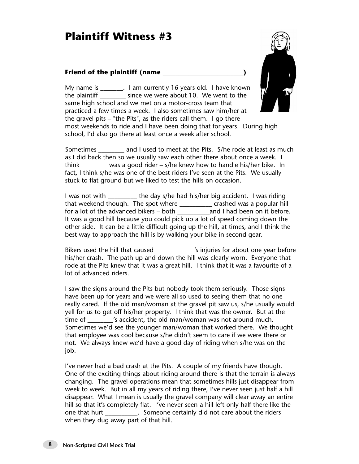# **Plaintiff Witness #3**

#### **Friend of the plaintiff (name \_\_\_\_\_\_\_\_\_\_\_\_\_\_\_\_\_\_\_\_\_\_\_\_\_)**



My name is Fig. 1 am currently 16 years old. I have known the plaintiff \_\_\_\_\_\_\_\_ since we were about 10. We went to the same high school and we met on a motor-cross team that practiced a few times a week. I also sometimes saw him/her at the gravel pits – "the Pits", as the riders call them. I go there most weekends to ride and I have been doing that for years. During high school, I'd also go there at least once a week after school.

Sometimes and I used to meet at the Pits. S/he rode at least as much as I did back then so we usually saw each other there about once a week. I think  $\frac{1}{2}$  was a good rider – s/he knew how to handle his/her bike. In fact, I think s/he was one of the best riders I've seen at the Pits. We usually stuck to flat ground but we liked to test the hills on occasion.

I was not with the day s/he had his/her big accident. I was riding that weekend though. The spot where \_\_\_\_\_\_\_\_\_\_ crashed was a popular hill for a lot of the advanced bikers – both and I had been on it before. It was a good hill because you could pick up a lot of speed coming down the other side. It can be a little difficult going up the hill, at times, and I think the best way to approach the hill is by walking your bike in second gear.

Bikers used the hill that caused \_\_\_\_\_\_\_\_\_\_\_\_'s injuries for about one year before his/her crash. The path up and down the hill was clearly worn. Everyone that rode at the Pits knew that it was a great hill. I think that it was a favourite of a lot of advanced riders.

I saw the signs around the Pits but nobody took them seriously. Those signs have been up for years and we were all so used to seeing them that no one really cared. If the old man/woman at the gravel pit saw us, s/he usually would yell for us to get off his/her property. I think that was the owner. But at the time of  $\sim$  's accident, the old man/woman was not around much. Sometimes we'd see the younger man/woman that worked there. We thought that employee was cool because s/he didn't seem to care if we were there or not. We always knew we'd have a good day of riding when s/he was on the job.

I've never had a bad crash at the Pits. A couple of my friends have though. One of the exciting things about riding around there is that the terrain is always changing. The gravel operations mean that sometimes hills just disappear from week to week. But in all my years of riding there, I've never seen just half a hill disappear. What I mean is usually the gravel company will clear away an entire hill so that it's completely flat. I've never seen a hill left only half there like the one that hurt \_\_\_\_\_\_\_\_\_\_. Someone certainly did not care about the riders when they dug away part of that hill.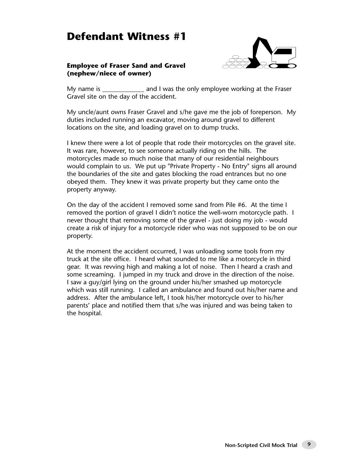## **Defendant Witness #1**



#### **Employee of Fraser Sand and Gravel (nephew/niece of owner)**

My name is **Example 20** and I was the only employee working at the Fraser Gravel site on the day of the accident.

My uncle/aunt owns Fraser Gravel and s/he gave me the job of foreperson. My duties included running an excavator, moving around gravel to different locations on the site, and loading gravel on to dump trucks.

I knew there were a lot of people that rode their motorcycles on the gravel site. It was rare, however, to see someone actually riding on the hills. The motorcycles made so much noise that many of our residential neighbours would complain to us. We put up "Private Property - No Entry" signs all around the boundaries of the site and gates blocking the road entrances but no one obeyed them. They knew it was private property but they came onto the property anyway.

On the day of the accident I removed some sand from Pile #6. At the time I removed the portion of gravel I didn't notice the well-worn motorcycle path. I never thought that removing some of the gravel - just doing my job - would create a risk of injury for a motorcycle rider who was not supposed to be on our property.

At the moment the accident occurred, I was unloading some tools from my truck at the site office. I heard what sounded to me like a motorcycle in third gear. It was revving high and making a lot of noise. Then I heard a crash and some screaming. I jumped in my truck and drove in the direction of the noise. I saw a guy/girl lying on the ground under his/her smashed up motorcycle which was still running. I called an ambulance and found out his/her name and address. After the ambulance left, I took his/her motorcycle over to his/her parents' place and notified them that s/he was injured and was being taken to the hospital.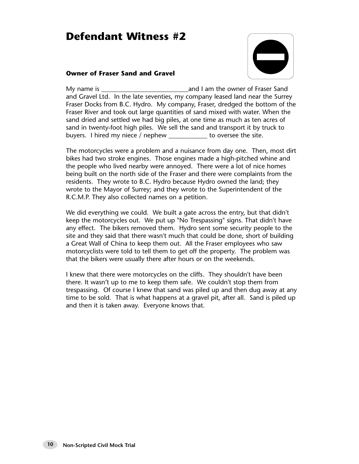## **Defendant Witness #2**



#### **Owner of Fraser Sand and Gravel**

My name is **Example 2** and I am the owner of Fraser Sand and Gravel Ltd. In the late seventies, my company leased land near the Surrey Fraser Docks from B.C. Hydro. My company, Fraser, dredged the bottom of the Fraser River and took out large quantities of sand mixed with water. When the sand dried and settled we had big piles, at one time as much as ten acres of sand in twenty-foot high piles. We sell the sand and transport it by truck to buyers. I hired my niece / nephew \_\_\_\_\_\_\_\_\_\_\_\_ to oversee the site.

The motorcycles were a problem and a nuisance from day one. Then, most dirt bikes had two stroke engines. Those engines made a high-pitched whine and the people who lived nearby were annoyed. There were a lot of nice homes being built on the north side of the Fraser and there were complaints from the residents. They wrote to B.C. Hydro because Hydro owned the land; they wrote to the Mayor of Surrey; and they wrote to the Superintendent of the R.C.M.P. They also collected names on a petition.

We did everything we could. We built a gate across the entry, but that didn't keep the motorcycles out. We put up "No Trespassing" signs. That didn't have any effect. The bikers removed them. Hydro sent some security people to the site and they said that there wasn't much that could be done, short of building a Great Wall of China to keep them out. All the Fraser employees who saw motorcyclists were told to tell them to get off the property. The problem was that the bikers were usually there after hours or on the weekends.

I knew that there were motorcycles on the cliffs. They shouldn't have been there. It wasn't up to me to keep them safe. We couldn't stop them from trespassing. Of course I knew that sand was piled up and then dug away at any time to be sold. That is what happens at a gravel pit, after all. Sand is piled up and then it is taken away. Everyone knows that.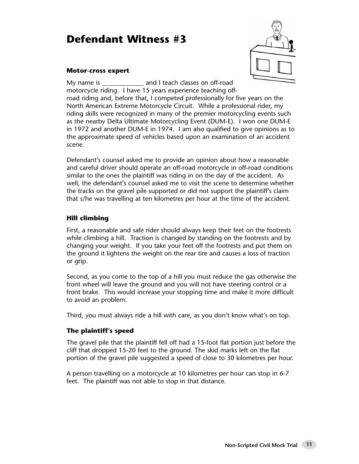## **Defendant Witness #3**



#### **Motor-cross expert**

My name is electron and I teach classes on off-road motorcycle riding. I have 15 years experience teaching offroad riding and, before that, I competed professionally for five years on the North American Extreme Motorcycle Circuit. While a professional rider, my riding skills were recognized in many of the premier motorcycling events such as the nearby Delta Ultimate Motorcycling Event (DUM-E). I won one DUM-E in 1972 and another DUM-E in 1974. I am also qualified to give opinions as to the approximate speed of vehicles based upon an examination of an accident scene.

Defendant's counsel asked me to provide an opinion about how a reasonable and careful driver should operate an off-road motorcycle in off-road conditions similar to the ones the plaintiff was riding in on the day of the accident. As well, the defendant's counsel asked me to visit the scene to determine whether the tracks on the gravel pile supported or did not support the plaintiff's claim that s/he was travelling at ten kilometres per hour at the time of the accident.

#### **Hill climbing**

First, a reasonable and safe rider should always keep their feet on the footrests while climbing a hill. Traction is changed by standing on the footrests and by changing your weight. If you take your feet off the footrests and put them on the ground it lightens the weight on the rear tire and causes a loss of traction or grip.

Second, as you come to the top of a hill you must reduce the gas otherwise the front wheel will leave the ground and you will not have steering control or a front brake. This would increase your stopping time and make it more difficult to avoid an problem.

Third, you must always ride a hill with care, as you don't know what's on top.

#### **The plaintiff's speed**

The gravel pile that the plaintiff fell off had a 15-foot flat portion just before the cliff that dropped 15-20 feet to the ground. The skid marks left on the flat portion of the gravel pile suggested a speed of close to 30 kilometres per hour.

A person travelling on a motorcycle at 10 kilometres per hour can stop in 6-7 feet. The plaintiff was not able to stop in that distance.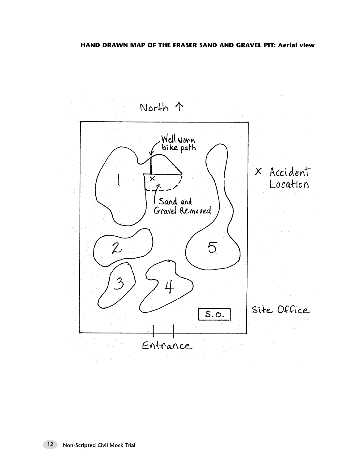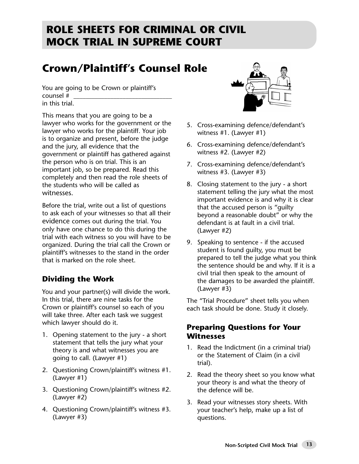# **ROLE SHEETS FOR CRIMINAL OR CIVIL MOCK TRIAL IN SUPREME COURT**

# **Crown/Plaintiff's Counsel Role**

You are going to be Crown or plaintiff's counsel # \_\_\_\_\_\_\_\_\_\_\_\_\_\_\_\_\_\_\_\_\_\_\_\_\_\_\_\_\_\_\_\_ in this trial.

This means that you are going to be a lawyer who works for the government or the lawyer who works for the plaintiff. Your job is to organize and present, before the judge and the jury, all evidence that the government or plaintiff has gathered against the person who is on trial. This is an important job, so be prepared. Read this completely and then read the role sheets of the students who will be called as witnesses.

Before the trial, write out a list of questions to ask each of your witnesses so that all their evidence comes out during the trial. You only have one chance to do this during the trial with each witness so you will have to be organized. During the trial call the Crown or plaintiff's witnesses to the stand in the order that is marked on the role sheet.

## **Dividing the Work**

You and your partner(s) will divide the work. In this trial, there are nine tasks for the Crown or plaintiff's counsel so each of you will take three. After each task we suggest which lawyer should do it.

- 1. Opening statement to the jury a short statement that tells the jury what your theory is and what witnesses you are going to call. (Lawyer #1)
- 2. Questioning Crown/plaintiff's witness #1. (Lawyer #1)
- 3. Questioning Crown/plaintiff's witness #2. (Lawyer #2)
- 4. Questioning Crown/plaintiff's witness #3. (Lawyer #3)



- 5. Cross-examining defence/defendant's witness #1. (Lawyer #1)
- 6. Cross-examining defence/defendant's witness #2. (Lawyer #2)
- 7. Cross-examining defence/defendant's witness #3. (Lawyer #3)
- 8. Closing statement to the jury a short statement telling the jury what the most important evidence is and why it is clear that the accused person is "guilty beyond a reasonable doubt" or why the defendant is at fault in a civil trial. (Lawyer #2)
- 9. Speaking to sentence if the accused student is found guilty, you must be prepared to tell the judge what you think the sentence should be and why. If it is a civil trial then speak to the amount of the damages to be awarded the plaintiff. (Lawyer #3)

The "Trial Procedure" sheet tells you when each task should be done. Study it closely.

### **Preparing Questions for Your Witnesses**

- 1. Read the Indictment (in a criminal trial) or the Statement of Claim (in a civil trial).
- 2. Read the theory sheet so you know what your theory is and what the theory of the defence will be.
- 3. Read your witnesses story sheets. With your teacher's help, make up a list of questions.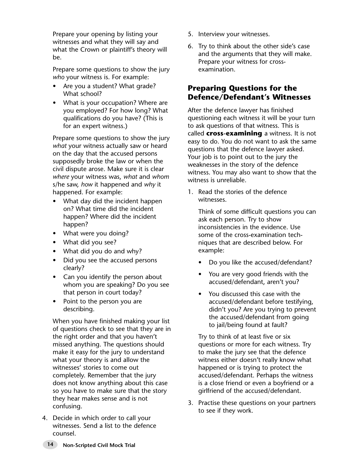Prepare your opening by listing your witnesses and what they will say and what the Crown or plaintiff's theory will be.

Prepare some questions to show the jury *who* your witness is. For example:

- Are you a student? What grade? What school?
- What is your occupation? Where are you employed? For how long? What qualifications do you have? (This is for an expert witness.)

Prepare some questions to show the jury *what* your witness actually saw or heard on the day that the accused persons supposedly broke the law or when the civil dispute arose. Make sure it is clear *where* your witness was, *what* and *whom* s/he saw, *how* it happened and *why* it happened. For example:

- What day did the incident happen on? What time did the incident happen? Where did the incident happen?
- What were you doing?
- What did you see?
- What did you do and why?
- Did you see the accused persons clearly?
- Can you identify the person about whom you are speaking? Do you see that person in court today?
- Point to the person you are describing.

When you have finished making your list of questions check to see that they are in the right order and that you haven't missed anything. The questions should make it easy for the jury to understand what your theory is and allow the witnesses' stories to come out completely. Remember that the jury does not know anything about this case so you have to make sure that the story they hear makes sense and is not confusing.

4. Decide in which order to call your witnesses. Send a list to the defence counsel.

- 5. Interview your witnesses.
- 6. Try to think about the other side's case and the arguments that they will make. Prepare your witness for crossexamination.

## **Preparing Questions for the Defence/Defendant's Witnesses**

After the defence lawyer has finished questioning each witness it will be your turn to ask questions of that witness. This is called **cross-examining** a witness. It is not easy to do. You do not want to ask the same questions that the defence lawyer asked. Your job is to point out to the jury the weaknesses in the story of the defence witness. You may also want to show that the witness is unreliable.

1. Read the stories of the defence witnesses.

> Think of some difficult questions you can ask each person. Try to show inconsistencies in the evidence. Use some of the cross-examination techniques that are described below. For example:

- Do you like the accused/defendant?
- You are very good friends with the accused/defendant, aren't you?
- You discussed this case with the accused/defendant before testifying, didn't you? Are you trying to prevent the accused/defendant from going to jail/being found at fault?

Try to think of at least five or six questions or more for each witness. Try to make the jury see that the defence witness either doesn't really know what happened or is trying to protect the accused/defendant. Perhaps the witness is a close friend or even a boyfriend or a girlfriend of the accused/defendant.

3. Practise these questions on your partners to see if they work.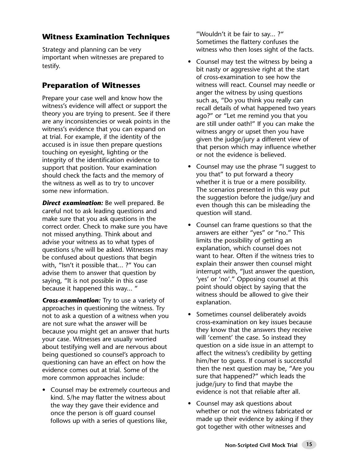## **Witness Examination Techniques**

Strategy and planning can be very important when witnesses are prepared to testify.

## **Preparation of Witnesses**

Prepare your case well and know how the witness's evidence will affect or support the theory you are trying to present. See if there are any inconsistencies or weak points in the witness's evidence that you can expand on at trial. For example, if the identity of the accused is in issue then prepare questions touching on eyesight, lighting or the integrity of the identification evidence to support that position. Your examination should check the facts and the memory of the witness as well as to try to uncover some new information.

*Direct examination:* Be well prepared. Be careful not to ask leading questions and make sure that you ask questions in the correct order. Check to make sure you have not missed anything. Think about and advise your witness as to what types of questions s/he will be asked. Witnesses may be confused about questions that begin with, "Isn't it possible that... ?" You can advise them to answer that question by saying, "It is not possible in this case because it happened this way... "

*Cross-examination:* Try to use a variety of approaches in questioning the witness. Try not to ask a question of a witness when you are not sure what the answer will be because you might get an answer that hurts your case. Witnesses are usually worried about testifying well and are nervous about being questioned so counsel's approach to questioning can have an effect on how the evidence comes out at trial. Some of the more common approaches include:

• Counsel may be extremely courteous and kind. S/he may flatter the witness about the way they gave their evidence and once the person is off guard counsel follows up with a series of questions like,

"Wouldn't it be fair to say... ?" Sometimes the flattery confuses the witness who then loses sight of the facts.

- Counsel may test the witness by being a bit nasty or aggressive right at the start of cross-examination to see how the witness will react. Counsel may needle or anger the witness by using questions such as, "Do you think you really can recall details of what happened two years ago?" or "Let me remind you that you are still under oath!" If you can make the witness angry or upset then you have given the judge/jury a different view of that person which may influence whether or not the evidence is believed.
- Counsel may use the phrase "I suggest to you that" to put forward a theory whether it is true or a mere possibility. The scenarios presented in this way put the suggestion before the judge/jury and even though this can be misleading the question will stand.
- Counsel can frame questions so that the answers are either "yes" or "no." This limits the possibility of getting an explanation, which counsel does not want to hear. Often if the witness tries to explain their answer then counsel might interrupt with, "Just answer the question, 'yes' or 'no'." Opposing counsel at this point should object by saying that the witness should be allowed to give their explanation.
- Sometimes counsel deliberately avoids cross-examination on key issues because they know that the answers they receive will 'cement' the case. So instead they question on a side issue in an attempt to affect the witness's credibility by getting him/her to guess. If counsel is successful then the next question may be, "Are you sure that happened?" which leads the judge/jury to find that maybe the evidence is not that reliable after all.
- Counsel may ask questions about whether or not the witness fabricated or made up their evidence by asking if they got together with other witnesses and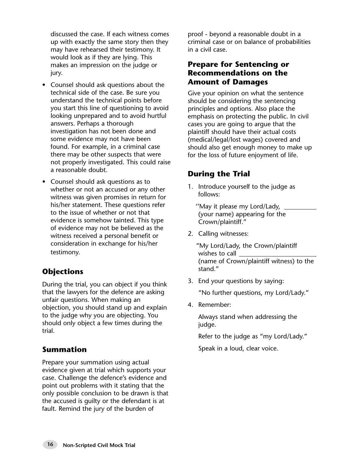discussed the case. If each witness comes up with exactly the same story then they may have rehearsed their testimony. It would look as if they are lying. This makes an impression on the judge or jury.

- Counsel should ask questions about the technical side of the case. Be sure you understand the technical points before you start this line of questioning to avoid looking unprepared and to avoid hurtful answers. Perhaps a thorough investigation has not been done and some evidence may not have been found. For example, in a criminal case there may be other suspects that were not properly investigated. This could raise a reasonable doubt.
- Counsel should ask questions as to whether or not an accused or any other witness was given promises in return for his/her statement. These questions refer to the issue of whether or not that evidence is somehow tainted. This type of evidence may not be believed as the witness received a personal benefit or consideration in exchange for his/her testimony.

## **Objections**

During the trial, you can object if you think that the lawyers for the defence are asking unfair questions. When making an objection, you should stand up and explain to the judge why you are objecting. You should only object a few times during the trial.

#### **Summation**

Prepare your summation using actual evidence given at trial which supports your case. Challenge the defence's evidence and point out problems with it stating that the only possible conclusion to be drawn is that the accused is guilty or the defendant is at fault. Remind the jury of the burden of

proof - beyond a reasonable doubt in a criminal case or on balance of probabilities in a civil case.

### **Prepare for Sentencing or Recommendations on the Amount of Damages**

Give your opinion on what the sentence should be considering the sentencing principles and options. Also place the emphasis on protecting the public. In civil cases you are going to argue that the plaintiff should have their actual costs (medical/legal/lost wages) covered and should also get enough money to make up for the loss of future enjoyment of life.

## **During the Trial**

1. Introduce yourself to the judge as follows:

''May it please my Lord/Lady, \_\_\_\_\_\_\_\_\_\_ (your name) appearing for the Crown/plaintiff."

- 2. Calling witnesses:
	- "My Lord/Lady, the Crown/plaintiff wishes to call (name of Crown/plaintiff witness) to the stand."
- 3. End your questions by saying:

"No further questions, my Lord/Lady."

4. Remember:

Always stand when addressing the judge.

Refer to the judge as "my Lord/Lady."

Speak in a loud, clear voice.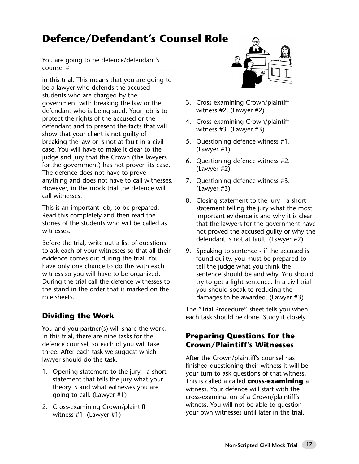# **Defence/Defendant's Counsel Role**

You are going to be defence/defendant's counsel #

in this trial. This means that you are going to be a lawyer who defends the accused students who are charged by the government with breaking the law or the defendant who is being sued. Your job is to protect the rights of the accused or the defendant and to present the facts that will show that your client is not guilty of breaking the law or is not at fault in a civil case. You will have to make it clear to the judge and jury that the Crown (the lawyers for the government) has not proven its case. The defence does not have to prove anything and does not have to call witnesses. However, in the mock trial the defence will call witnesses.

This is an important job, so be prepared. Read this completely and then read the stories of the students who will be called as witnesses.

Before the trial, write out a list of questions to ask each of your witnesses so that all their evidence comes out during the trial. You have only one chance to do this with each witness so you will have to be organized. During the trial call the defence witnesses to the stand in the order that is marked on the role sheets.

## **Dividing the Work**

You and you partner(s) will share the work. In this trial, there are nine tasks for the defence counsel, so each of you will take three. After each task we suggest which lawyer should do the task.

- 1. Opening statement to the jury a short statement that tells the jury what your theory is and what witnesses you are going to call. (Lawyer #1)
- 2. Cross-examining Crown/plaintiff witness #1. (Lawyer #1)



- 3. Cross-examining Crown/plaintiff witness #2. (Lawyer #2)
- 4. Cross-examining Crown/plaintiff witness #3. (Lawyer #3)
- 5. Questioning defence witness #1. (Lawyer #1)
- 6. Questioning defence witness #2. (Lawyer #2)
- 7. Questioning defence witness #3. (Lawyer #3)
- 8. Closing statement to the jury a short statement telling the jury what the most important evidence is and why it is clear that the lawyers for the government have not proved the accused guilty or why the defendant is not at fault. (Lawyer #2)
- 9. Speaking to sentence if the accused is found guilty, you must be prepared to tell the judge what you think the sentence should be and why. You should try to get a light sentence. In a civil trial you should speak to reducing the damages to be awarded. (Lawyer #3)

The "Trial Procedure" sheet tells you when each task should be done. Study it closely.

### **Preparing Questions for the Crown/Plaintiff's Witnesses**

After the Crown/plaintiff's counsel has finished questioning their witness it will be your turn to ask questions of that witness. This is called a called **cross-examining** a witness. Your defence will start with the cross-examination of a Crown/plaintiff's witness. You will not be able to question your own witnesses until later in the trial.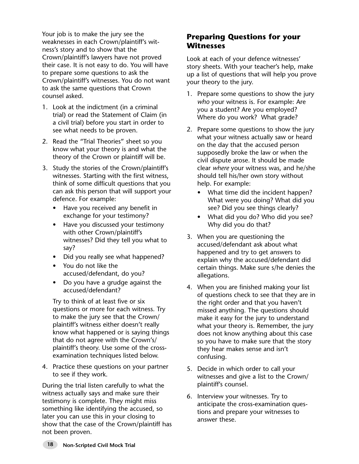Your job is to make the jury see the weaknesses in each Crown/plaintiff's witness's story and to show that the Crown/plaintiff's lawyers have not proved their case. It is not easy to do. You will have to prepare some questions to ask the Crown/plaintiff's witnesses. You do not want to ask the same questions that Crown counsel asked.

- 1. Look at the indictment (in a criminal trial) or read the Statement of Claim (in a civil trial) before you start in order to see what needs to be proven.
- 2. Read the "Trial Theories" sheet so you know what your theory is and what the theory of the Crown or plaintiff will be.
- 3. Study the stories of the Crown/plaintiff's witnesses. Starting with the first witness, think of some difficult questions that you can ask this person that will support your defence. For example:
	- Have you received any benefit in exchange for your testimony?
	- Have you discussed your testimony with other Crown/plaintiff's witnesses? Did they tell you what to say?
	- Did you really see what happened?
	- You do not like the accused/defendant, do you?
	- Do you have a grudge against the accused/defendant?

Try to think of at least five or six questions or more for each witness. Try to make the jury see that the Crown/ plaintiff's witness either doesn't really know what happened or is saying things that do not agree with the Crown's/ plaintiff's theory. Use some of the crossexamination techniques listed below.

4. Practice these questions on your partner to see if they work.

During the trial listen carefully to what the witness actually says and make sure their testimony is complete. They might miss something like identifying the accused, so later you can use this in your closing to show that the case of the Crown/plaintiff has not been proven.

### **Preparing Questions for your Witnesses**

Look at each of your defence witnesses' story sheets. With your teacher's help, make up a list of questions that will help you prove your theory to the jury.

- 1. Prepare some questions to show the jury *who* your witness is. For example: Are you a student? Are you employed? Where do you work? What grade?
- 2. Prepare some questions to show the jury what your witness actually saw or heard on the day that the accused person supposedly broke the law or when the civil dispute arose. It should be made clear *where* your witness was, and he/she should tell his/her own story without help. For example:
	- What time did the incident happen? What were you doing? What did you see? Did you see things clearly?
	- What did you do? Who did you see? Why did you do that?
- 3. When you are questioning the accused/defendant ask about what happened and try to get answers to explain why the accused/defendant did certain things. Make sure s/he denies the allegations.
- 4. When you are finished making your list of questions check to see that they are in the right order and that you haven't missed anything. The questions should make it easy for the jury to understand what your theory is. Remember, the jury does not know anything about this case so you have to make sure that the story they hear makes sense and isn't confusing.
- 5. Decide in which order to call your witnesses and give a list to the Crown/ plaintiff's counsel.
- 6. Interview your witnesses. Try to anticipate the cross-examination questions and prepare your witnesses to answer these.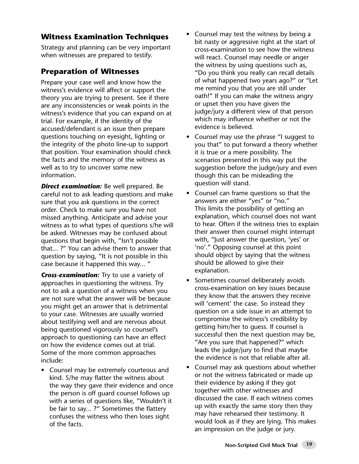## **Witness Examination Techniques**

Strategy and planning can be very important when witnesses are prepared to testify.

## **Preparation of Witnesses**

Prepare your case well and know how the witness's evidence will affect or support the theory you are trying to present. See if there are any inconsistencies or weak points in the witness's evidence that you can expand on at trial. For example, if the identity of the accused/defendant is an issue then prepare questions touching on eyesight, lighting or the integrity of the photo line-up to support that position. Your examination should check the facts and the memory of the witness as well as to try to uncover some new information.

*Direct examination:* Be well prepared. Be careful not to ask leading questions and make sure that you ask questions in the correct order. Check to make sure you have not missed anything. Anticipate and advise your witness as to what types of questions s/he will be asked. Witnesses may be confused about questions that begin with, "Isn't possible that... ?" You can advise them to answer that question by saying, "It is not possible in this case because it happened this way... "

*Cross-examination:* Try to use a variety of approaches in questioning the witness. Try not to ask a question of a witness when you are not sure what the answer will be because you might get an answer that is detrimental to your case. Witnesses are usually worried about testifying well and are nervous about being questioned vigorously so counsel's approach to questioning can have an effect on how the evidence comes out at trial. Some of the more common approaches include:

• Counsel may be extremely courteous and kind. S/he may flatter the witness about the way they gave their evidence and once the person is off guard counsel follows up with a series of questions like, "Wouldn't it be fair to say... ?" Sometimes the flattery confuses the witness who then loses sight of the facts.

- Counsel may test the witness by being a bit nasty or aggressive right at the start of cross-examination to see how the witness will react. Counsel may needle or anger the witness by using questions such as, "Do you think you really can recall details of what happened two years ago?" or "Let me remind you that you are still under oath!" If you can make the witness angry or upset then you have given the judge/jury a different view of that person which may influence whether or not the evidence is believed.
- Counsel may use the phrase "I suggest to you that" to put forward a theory whether it is true or a mere possibility. The scenarios presented in this way put the suggestion before the judge/jury and even though this can be misleading the question will stand.
- Counsel can frame questions so that the answers are either "yes" or "no." This limits the possibility of getting an explanation, which counsel does not want to hear. Often if the witness tries to explain their answer then counsel might interrupt with, "Just answer the question, 'yes' or 'no'." Opposing counsel at this point should object by saying that the witness should be allowed to give their explanation.
- Sometimes counsel deliberately avoids cross-examination on key issues because they know that the answers they receive will 'cement' the case. So instead they question on a side issue in an attempt to compromise the witness's credibility by getting him/her to guess. If counsel is successful then the next question may be, "Are you sure that happened?" which leads the judge/jury to find that maybe the evidence is not that reliable after all.
- Counsel may ask questions about whether or not the witness fabricated or made up their evidence by asking if they got together with other witnesses and discussed the case. If each witness comes up with exactly the same story then they may have rehearsed their testimony. It would look as if they are lying. This makes an impression on the judge or jury.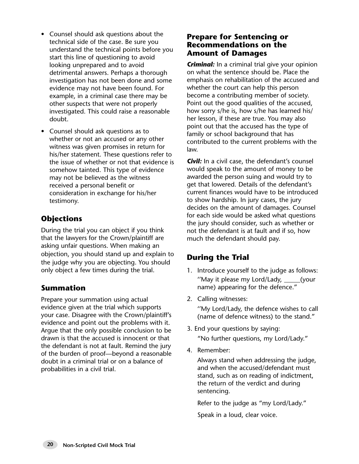- Counsel should ask questions about the technical side of the case. Be sure you understand the technical points before you start this line of questioning to avoid looking unprepared and to avoid detrimental answers. Perhaps a thorough investigation has not been done and some evidence may not have been found. For example, in a criminal case there may be other suspects that were not properly investigated. This could raise a reasonable doubt.
- Counsel should ask questions as to whether or not an accused or any other witness was given promises in return for his/her statement. These questions refer to the issue of whether or not that evidence is somehow tainted. This type of evidence may not be believed as the witness received a personal benefit or consideration in exchange for his/her testimony.

## **Objections**

During the trial you can object if you think that the lawyers for the Crown/plaintiff are asking unfair questions. When making an objection, you should stand up and explain to the judge why you are objecting. You should only object a few times during the trial.

## **Summation**

Prepare your summation using actual evidence given at the trial which supports your case. Disagree with the Crown/plaintiff's evidence and point out the problems with it. Argue that the only possible conclusion to be drawn is that the accused is innocent or that the defendant is not at fault. Remind the jury of the burden of proof—beyond a reasonable doubt in a criminal trial or on a balance of probabilities in a civil trial.

#### **Prepare for Sentencing or Recommendations on the Amount of Damages**

**Criminal:** In a criminal trial give your opinion on what the sentence should be. Place the emphasis on rehabilitation of the accused and whether the court can help this person become a contributing member of society. Point out the good qualities of the accused, how sorry s/he is, how s/he has learned his/ her lesson, if these are true. You may also point out that the accused has the type of family or school background that has contributed to the current problems with the law.

**Civil:** In a civil case, the defendant's counsel would speak to the amount of money to be awarded the person suing and would try to get that lowered. Details of the defendant's current finances would have to be introduced to show hardship. In jury cases, the jury decides on the amount of damages. Counsel for each side would be asked what questions the jury should consider, such as whether or not the defendant is at fault and if so, how much the defendant should pay.

## **During the Trial**

- 1. Introduce yourself to the judge as follows: "May it please my Lord/Lady, \_\_\_\_\_(your name) appearing for the defence."
- 2. Calling witnesses: ''My Lord/Lady, the defence wishes to call (name of defence witness) to the stand."
- 3. End your questions by saying: "No further questions, my Lord/Lady."
- 4. Remember:

Always stand when addressing the judge, and when the accused/defendant must stand, such as on reading of indictment, the return of the verdict and during sentencing.

Refer to the judge as "my Lord/Lady."

Speak in a loud, clear voice.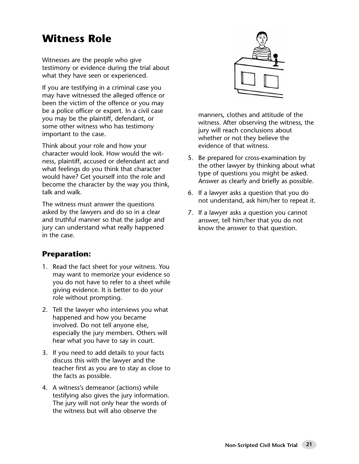# **Witness Role**

Witnesses are the people who give testimony or evidence during the trial about what they have seen or experienced.

If you are testifying in a criminal case you may have witnessed the alleged offence or been the victim of the offence or you may be a police officer or expert. In a civil case you may be the plaintiff, defendant, or some other witness who has testimony important to the case.

Think about your role and how your character would look. How would the witness, plaintiff, accused or defendant act and what feelings do you think that character would have? Get yourself into the role and become the character by the way you think, talk and walk.

The witness must answer the questions asked by the lawyers and do so in a clear and truthful manner so that the judge and jury can understand what really happened in the case.

## **Preparation:**

- 1. Read the fact sheet for your witness. You may want to memorize your evidence so you do not have to refer to a sheet while giving evidence. It is better to do your role without prompting.
- 2. Tell the lawyer who interviews you what happened and how you became involved. Do not tell anyone else, especially the jury members. Others will hear what you have to say in court.
- 3. If you need to add details to your facts discuss this with the lawyer and the teacher first as you are to stay as close to the facts as possible.
- 4. A witness's demeanor (actions) while testifying also gives the jury information. The jury will not only hear the words of the witness but will also observe the



manners, clothes and attitude of the witness. After observing the witness, the jury will reach conclusions about whether or not they believe the evidence of that witness.

- 5. Be prepared for cross-examination by the other lawyer by thinking about what type of questions you might be asked. Answer as clearly and briefly as possible.
- 6. If a lawyer asks a question that you do not understand, ask him/her to repeat it.
- 7. If a lawyer asks a question you cannot answer, tell him/her that you do not know the answer to that question.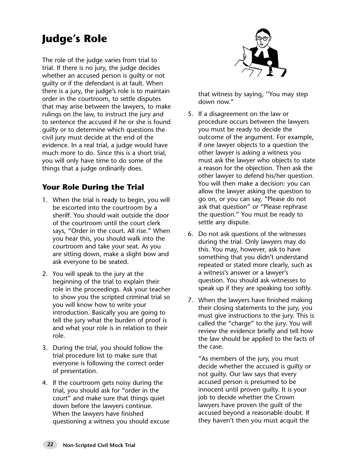# **Judge's Role**

The role of the judge varies from trial to trial. If there is no jury, the judge decides whether an accused person is guilty or not guilty or if the defendant is at fault. When there is a jury, the judge's role is to maintain order in the courtroom, to settle disputes that may arise between the lawyers, to make rulings on the law, to instruct the jury and to sentence the accused if he or she is found guilty or to determine which questions the civil jury must decide at the end of the evidence. In a real trial, a judge would have much more to do. Since this is a short trial, you will only have time to do some of the things that a judge ordinarily does.

## **Your Role During the Trial**

- 1. When the trial is ready to begin, you will be escorted into the courtroom by a sheriff. You should wait outside the door of the courtroom until the court clerk says, "Order in the court. All rise." When you hear this, you should walk into the courtroom and take your seat. As you are sitting down, make a slight bow and ask everyone to be seated.
- 2. You will speak to the jury at the beginning of the trial to explain their role in the proceedings. Ask your teacher to show you the scripted criminal trial so you will know how to write your introduction. Basically you are going to tell the jury what the burden of proof is and what your role is in relation to their role.
- 3. During the trial, you should follow the trial procedure list to make sure that everyone is following the correct order of presentation.
- 4. If the courtroom gets noisy during the trial, you should ask for "order in the court" and make sure that things quiet down before the lawyers continue. When the lawyers have finished questioning a witness you should excuse



that witness by saying, ''You may step down now."

- 5. If a disagreement on the law or procedure occurs between the lawyers you must be ready to decide the outcome of the argument. For example, if one lawyer objects to a question the other lawyer is asking a witness you must ask the lawyer who objects to state a reason for the objection. Then ask the other lawyer to defend his/her question. You will then make a decision: you can allow the lawyer asking the question to go on, or you can say, "Please do not ask that question" or "Please rephrase the question." You must be ready to settle any dispute.
- 6. Do not ask questions of the witnesses during the trial. Only lawyers may do this. You may, however, ask to have something that you didn't understand repeated or stated more clearly, such as a witness's answer or a lawyer's question. You should ask witnesses to speak up if they are speaking too softly.
- 7. When the lawyers have finished making their closing statements to the jury, you must give instructions to the jury. This is called the "charge" to the jury. You will review the evidence briefly and tell how the law should be applied to the facts of the case.

"As members of the jury, you must decide whether the accused is guilty or not guilty. Our law says that every accused person is presumed to be innocent until proven guilty. It is your job to decide whether the Crown lawyers have proven the guilt of the accused beyond a reasonable doubt. If they haven't then you must acquit the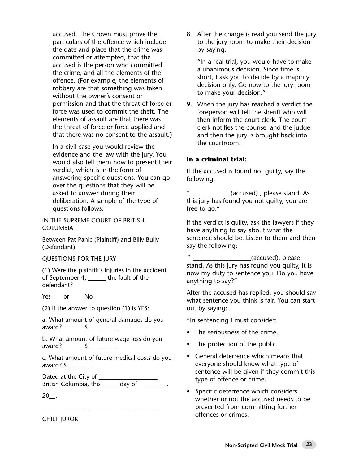accused. The Crown must prove the particulars of the offence which include the date and place that the crime was committed or attempted, that the accused is the person who committed the crime, and all the elements of the offence. (For example, the elements of robbery are that something was taken without the owner's consent or permission and that the threat of force or force was used to commit the theft. The elements of assault are that there was the threat of force or force applied and that there was no consent to the assault.)

In a civil case you would review the evidence and the law with the jury. You would also tell them how to present their verdict, which is in the form of answering specific questions. You can go over the questions that they will be asked to answer during their deliberation. A sample of the type of questions follows:

IN THE SUPREME COURT OF BRITISH COLUMBIA

Between Pat Panic (Plaintiff) and Billy Bully (Defendant)

QUESTIONS FOR THE JURY

(1) Were the plaintiff's injuries in the accident of September 4, the fault of the defendant?

Yes or No

(2) If the answer to question (1) is YES:

a. What amount of general damages do you award? \$

b. What amount of future wage loss do you award? \$

c. What amount of future medical costs do you award? \$\_\_\_\_\_\_\_\_\_\_

Dated at the City of \_\_\_\_\_\_\_\_\_\_\_\_\_\_\_\_\_\_\_\_, British Columbia, this \_\_\_\_\_ day of \_\_\_\_\_\_\_\_\_,

\_\_\_\_\_\_\_\_\_\_\_\_\_\_\_\_\_\_\_\_\_\_\_\_\_\_\_\_\_\_\_\_\_\_\_\_\_\_

20\_\_.

8. After the charge is read you send the jury to the jury room to make their decision by saying:

"In a real trial, you would have to make a unanimous decision. Since time is short, I ask you to decide by a majority decision only. Go now to the jury room to make your decision."

9. When the jury has reached a verdict the foreperson will tell the sheriff who will then inform the court clerk. The court clerk notifies the counsel and the judge and then the jury is brought back into the courtroom.

#### **In a criminal trial:**

If the accused is found not guilty, say the following:

" (accused) , please stand. As this jury has found you not guilty, you are free to go."

If the verdict is guilty, ask the lawyers if they have anything to say about what the sentence should be. Listen to them and then say the following:

(accused), please stand. As this jury has found you guilty, it is now my duty to sentence you. Do you have anything to say?"

After the accused has replied, you should say what sentence you think is fair. You can start out by saying:

"In sentencing I must consider:

- The seriousness of the crime.
- The protection of the public.
- General deterrence which means that everyone should know what type of sentence will be given if they commit this type of offence or crime.
- Specific deterrence which considers whether or not the accused needs to be prevented from committing further offences or crimes.

CHIEF JUROR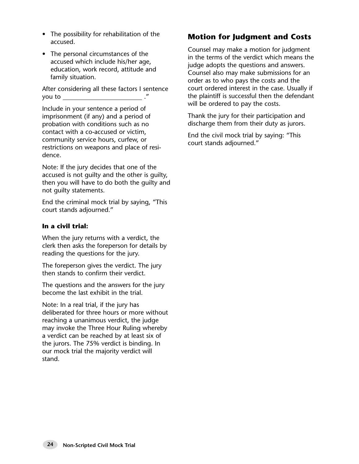- The possibility for rehabilitation of the accused.
- The personal circumstances of the accused which include his/her age, education, work record, attitude and family situation.

After considering all these factors I sentence you to  $\_\_\_\_\_\_\_\_\_\_\_\_\_\_''$ 

Include in your sentence a period of imprisonment (if any) and a period of probation with conditions such as no contact with a co-accused or victim, community service hours, curfew, or restrictions on weapons and place of residence.

Note: If the jury decides that one of the accused is not quilty and the other is quilty. then you will have to do both the guilty and not guilty statements.

End the criminal mock trial by saying, "This court stands adjourned."

#### **In a civil trial:**

When the jury returns with a verdict, the clerk then asks the foreperson for details by reading the questions for the jury.

The foreperson gives the verdict. The jury then stands to confirm their verdict.

The questions and the answers for the jury become the last exhibit in the trial.

Note: In a real trial, if the jury has deliberated for three hours or more without reaching a unanimous verdict, the judge may invoke the Three Hour Ruling whereby a verdict can be reached by at least six of the jurors. The 75% verdict is binding. In our mock trial the majority verdict will stand.

### **Motion for Judgment and Costs**

Counsel may make a motion for judgment in the terms of the verdict which means the judge adopts the questions and answers. Counsel also may make submissions for an order as to who pays the costs and the court ordered interest in the case. Usually if the plaintiff is successful then the defendant will be ordered to pay the costs.

Thank the jury for their participation and discharge them from their duty as jurors.

End the civil mock trial by saying: "This court stands adjourned."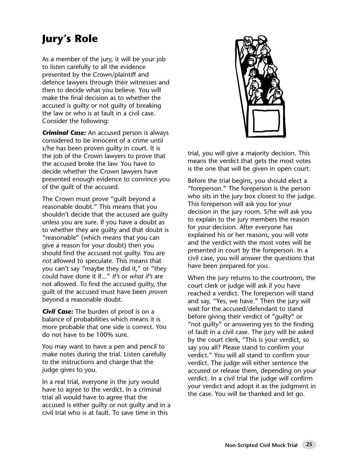# **Jury's Role**

As a member of the jury, it will be your job to listen carefully to all the evidence presented by the Crown/plaintiff and defence lawyers through their witnesses and then to decide what you believe. You will make the final decision as to whether the accused is guilty or not guilty of breaking the law or who is at fault in a civil case. Consider the following:

*Criminal Case:* An accused person is always considered to be innocent of a crime until s/he has been proven guilty in court. It is the job of the Crown lawyers to prove that the accused broke the law. You have to decide whether the Crown lawyers have presented enough evidence to convince you of the guilt of the accused.

The Crown must prove "guilt beyond a reasonable doubt." This means that you shouldn't decide that the accused are guilty unless you are sure. If you have a doubt as to whether they are guilty and that doubt is "reasonable" (which means that you can give a reason for your doubt) then you should find the accused not guilty. You are *not* allowed to speculate. This means that you can't say "maybe they did it," or "they could have done it if..." *If's* or *what if's* are not allowed. To find the accused guilty, the guilt of the accused must have been *proven* beyond a reasonable doubt.

**Civil Case:** The burden of proof is on a balance of probabilities which means it is more probable that one side is correct. You do not have to be 100% sure.

You may want to have a pen and pencil to make notes during the trial. Listen carefully to the instructions and charge that the judge gives to you.

In a real trial, everyone in the jury would have to agree to the verdict. In a criminal trial all would have to agree that the accused is either guilty or not guilty and in a civil trial who is at fault. To save time in this



trial, you will give a majority decision. This means the verdict that gets the most votes is the one that will be given in open court.

Before the trial begins, you should elect a "foreperson." The foreperson is the person who sits in the jury box closest to the judge. This foreperson will ask you for your decision in the jury room. S/he will ask you to explain to the jury members the reason for your decision. After everyone has explained his or her reasons, you will vote and the verdict with the most votes will be presented in court by the foreperson. In a civil case, you will answer the questions that have been prepared for you.

When the jury returns to the courtroom, the court clerk or judge will ask if you have reached a verdict. The foreperson will stand and say, ''Yes, we have." Then the jury will wait for the accused/defendant to stand before giving their verdict of "guilty" or "not guilty" or answering yes to the finding of fault in a civil case. The jury will be asked by the court clerk, "This is your verdict, so say you all? Please stand to confirm your verdict." You will all stand to confirm your verdict. The judge will either sentence the accused or release them, depending on your verdict. In a civil trial the judge will confirm your verdict and adopt it as the judgment in the case. You will be thanked and let go.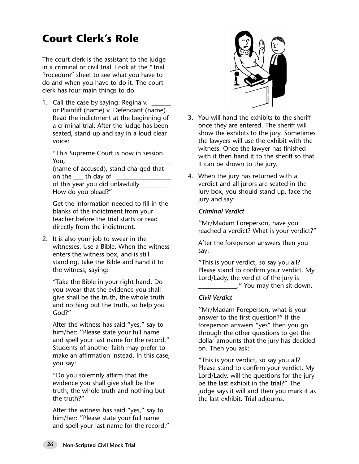# **Court Clerk's Role**

The court clerk is the assistant to the judge in a criminal or civil trial. Look at the "Trial Procedure" sheet to see what you have to do and when you have to do it. The court clerk has four main things to do:

1. Call the case by saying: Regina v.  $\Box$ or Plaintiff (name) v. Defendant (name). Read the indictment at the beginning of a criminal trial. After the judge has been seated, stand up and say in a loud clear voice:

"This Supreme Court is now in session. You,

(name of accused), stand charged that on the \_\_\_ th day of of this year you did unlawfully \_ How do you plead?"

Get the information needed to fill in the blanks of the indictment from your teacher before the trial starts or read directly from the indictment.

2. It is also your job to swear in the witnesses. Use a Bible. When the witness enters the witness box, and is still standing, take the Bible and hand it to the witness, saying:

"Take the Bible in your right hand. Do you swear that the evidence you shall give shall be the truth, the whole truth and nothing but the truth, so help you God?"

After the witness has said "yes," say to him/her: ''Please state your full name and spell your last name for the record." Students of another faith may prefer to make an affirmation instead. In this case, you say:

"Do you solemnly affirm that the evidence you shall give shall be the truth, the whole truth and nothing but the truth?"

After the witness has said "yes," say to him/her: ''Please state your full name and spell your last name for the record."



- 3. You will hand the exhibits to the sheriff once they are entered. The sheriff will show the exhibits to the jury. Sometimes the lawyers will use the exhibit with the witness. Once the lawyer has finished with it then hand it to the sheriff so that it can be shown to the jury.
- 4. When the jury has returned with a verdict and all jurors are seated in the jury box, you should stand up, face the jury and say:

#### *Criminal Verdict*

''Mr/Madam Foreperson, have you reached a verdict? What is your verdict?"

After the foreperson answers then you say:

"This is your verdict, so say you all? Please stand to confirm your verdict. My Lord/Lady, the verdict of the jury is \_\_\_\_\_\_\_\_\_\_\_\_." You may then sit down.

#### *Civil Verdict*

''Mr/Madam Foreperson, what is your answer to the first question?" If the foreperson answers "yes" then you go through the other questions to get the dollar amounts that the jury has decided on. Then you ask:

"This is your verdict, so say you all? Please stand to confirm your verdict. My Lord/Lady, will the questions for the jury be the last exhibit in the trial?" The judge says it will and then you mark it as the last exhibit. Trial adjourns.